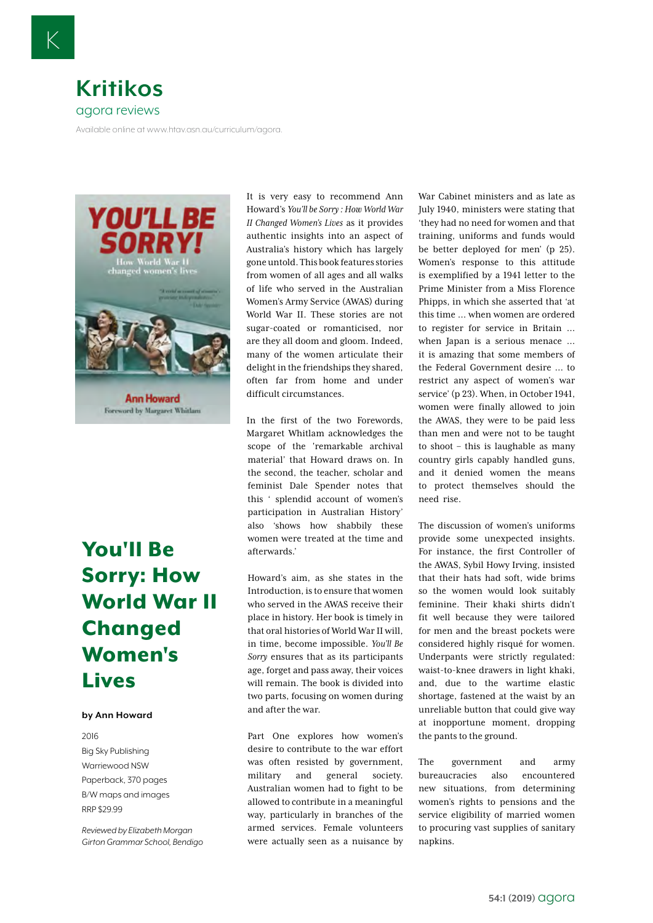

Available online at www.htav.asn.au/curriculum/agora.



## [You'll Be](https://www.booktopia.com.au/you-ll-be-sorry-ann-howard/prod9781925275841.html)  [Sorry: How](https://www.booktopia.com.au/you-ll-be-sorry-ann-howard/prod9781925275841.html)  [World War II](https://www.booktopia.com.au/you-ll-be-sorry-ann-howard/prod9781925275841.html)  [Changed](https://www.booktopia.com.au/you-ll-be-sorry-ann-howard/prod9781925275841.html)  [Women's](https://www.booktopia.com.au/you-ll-be-sorry-ann-howard/prod9781925275841.html)  [Lives](https://www.booktopia.com.au/you-ll-be-sorry-ann-howard/prod9781925275841.html)

## **by Ann Howard**

2016 Big Sky Publishing Warriewood NSW Paperback, 370 pages B/W maps and images RRP \$29.99

*Reviewed by Elizabeth Morgan Girton Grammar School, Bendigo* It is very easy to recommend Ann Howard's *You'll be Sorry : How World War II Changed Women's Lives* as it provides authentic insights into an aspect of Australia's history which has largely gone untold. This book features stories from women of all ages and all walks of life who served in the Australian Women's Army Service (AWAS) during World War II. These stories are not sugar-coated or romanticised, nor are they all doom and gloom. Indeed, many of the women articulate their delight in the friendships they shared, often far from home and under difficult circumstances.

In the first of the two Forewords, Margaret Whitlam acknowledges the scope of the 'remarkable archival material' that Howard draws on. In the second, the teacher, scholar and feminist Dale Spender notes that this ' splendid account of women's participation in Australian History' also 'shows how shabbily these women were treated at the time and afterwards.'

Howard's aim, as she states in the Introduction, is to ensure that women who served in the AWAS receive their place in history. Her book is timely in that oral histories of World War II will, in time, become impossible. *You'll Be Sorry* ensures that as its participants age, forget and pass away, their voices will remain. The book is divided into two parts, focusing on women during and after the war.

Part One explores how women's desire to contribute to the war effort was often resisted by government, military and general society. Australian women had to fight to be allowed to contribute in a meaningful way, particularly in branches of the armed services. Female volunteers were actually seen as a nuisance by War Cabinet ministers and as late as July 1940, ministers were stating that 'they had no need for women and that training, uniforms and funds would be better deployed for men' (p 25). Women's response to this attitude is exemplified by a 1941 letter to the Prime Minister from a Miss Florence Phipps, in which she asserted that 'at this time … when women are ordered to register for service in Britain … when Japan is a serious menace … it is amazing that some members of the Federal Government desire … to restrict any aspect of women's war service' (p 23). When, in October 1941, women were finally allowed to join the AWAS, they were to be paid less than men and were not to be taught to shoot – this is laughable as many country girls capably handled guns, and it denied women the means to protect themselves should the need rise.

The discussion of women's uniforms provide some unexpected insights. For instance, the first Controller of the AWAS, Sybil Howy Irving, insisted that their hats had soft, wide brims so the women would look suitably feminine. Their khaki shirts didn't fit well because they were tailored for men and the breast pockets were considered highly risqué for women. Underpants were strictly regulated: waist-to-knee drawers in light khaki, and, due to the wartime elastic shortage, fastened at the waist by an unreliable button that could give way at inopportune moment, dropping the pants to the ground.

The government and army bureaucracies also encountered new situations, from determining women's rights to pensions and the service eligibility of married women to procuring vast supplies of sanitary napkins.